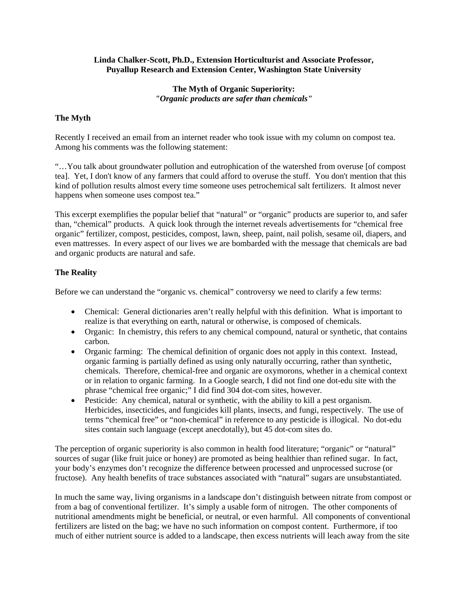#### **Linda Chalker-Scott, Ph.D., Extension Horticulturist and Associate Professor, Puyallup Research and Extension Center, Washington State University**

### **The Myth of Organic Superiority:**  *"Organic products are safer than chemicals"*

# **The Myth**

Recently I received an email from an internet reader who took issue with my column on compost tea. Among his comments was the following statement:

"…You talk about groundwater pollution and eutrophication of the watershed from overuse [of compost tea]. Yet, I don't know of any farmers that could afford to overuse the stuff. You don't mention that this kind of pollution results almost every time someone uses petrochemical salt fertilizers. It almost never happens when someone uses compost tea."

This excerpt exemplifies the popular belief that "natural" or "organic" products are superior to, and safer than, "chemical" products. A quick look through the internet reveals advertisements for "chemical free organic" fertilizer, compost, pesticides, compost, lawn, sheep, paint, nail polish, sesame oil, diapers, and even mattresses. In every aspect of our lives we are bombarded with the message that chemicals are bad and organic products are natural and safe.

#### **The Reality**

Before we can understand the "organic vs. chemical" controversy we need to clarify a few terms:

- Chemical: General dictionaries aren't really helpful with this definition. What is important to realize is that everything on earth, natural or otherwise, is composed of chemicals.
- Organic: In chemistry, this refers to any chemical compound, natural or synthetic, that contains carbon.
- Organic farming: The chemical definition of organic does not apply in this context. Instead, organic farming is partially defined as using only naturally occurring, rather than synthetic, chemicals. Therefore, chemical-free and organic are oxymorons, whether in a chemical context or in relation to organic farming. In a Google search, I did not find one dot-edu site with the phrase "chemical free organic;" I did find 304 dot-com sites, however.
- Pesticide: Any chemical, natural or synthetic, with the ability to kill a pest organism. Herbicides, insecticides, and fungicides kill plants, insects, and fungi, respectively. The use of terms "chemical free" or "non-chemical" in reference to any pesticide is illogical. No dot-edu sites contain such language (except anecdotally), but 45 dot-com sites do.

The perception of organic superiority is also common in health food literature; "organic" or "natural" sources of sugar (like fruit juice or honey) are promoted as being healthier than refined sugar. In fact, your body's enzymes don't recognize the difference between processed and unprocessed sucrose (or fructose). Any health benefits of trace substances associated with "natural" sugars are unsubstantiated.

In much the same way, living organisms in a landscape don't distinguish between nitrate from compost or from a bag of conventional fertilizer. It's simply a usable form of nitrogen. The other components of nutritional amendments might be beneficial, or neutral, or even harmful. All components of conventional fertilizers are listed on the bag; we have no such information on compost content. Furthermore, if too much of either nutrient source is added to a landscape, then excess nutrients will leach away from the site